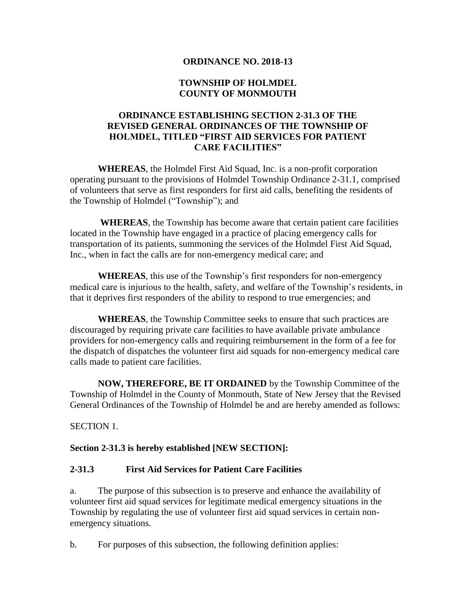### **ORDINANCE NO. 2018-13**

## **TOWNSHIP OF HOLMDEL COUNTY OF MONMOUTH**

# **ORDINANCE ESTABLISHING SECTION 2-31.3 OF THE REVISED GENERAL ORDINANCES OF THE TOWNSHIP OF HOLMDEL, TITLED "FIRST AID SERVICES FOR PATIENT CARE FACILITIES"**

**WHEREAS**, the Holmdel First Aid Squad, Inc. is a non-profit corporation operating pursuant to the provisions of Holmdel Township Ordinance 2-31.1, comprised of volunteers that serve as first responders for first aid calls, benefiting the residents of the Township of Holmdel ("Township"); and

**WHEREAS**, the Township has become aware that certain patient care facilities located in the Township have engaged in a practice of placing emergency calls for transportation of its patients, summoning the services of the Holmdel First Aid Squad, Inc., when in fact the calls are for non-emergency medical care; and

**WHEREAS**, this use of the Township's first responders for non-emergency medical care is injurious to the health, safety, and welfare of the Township's residents, in that it deprives first responders of the ability to respond to true emergencies; and

**WHEREAS**, the Township Committee seeks to ensure that such practices are discouraged by requiring private care facilities to have available private ambulance providers for non-emergency calls and requiring reimbursement in the form of a fee for the dispatch of dispatches the volunteer first aid squads for non-emergency medical care calls made to patient care facilities.

**NOW, THEREFORE, BE IT ORDAINED** by the Township Committee of the Township of Holmdel in the County of Monmouth, State of New Jersey that the Revised General Ordinances of the Township of Holmdel be and are hereby amended as follows:

SECTION 1.

## **Section 2-31.3 is hereby established [NEW SECTION]:**

#### **2-31.3 First Aid Services for Patient Care Facilities**

a. The purpose of this subsection is to preserve and enhance the availability of volunteer first aid squad services for legitimate medical emergency situations in the Township by regulating the use of volunteer first aid squad services in certain nonemergency situations.

b. For purposes of this subsection, the following definition applies: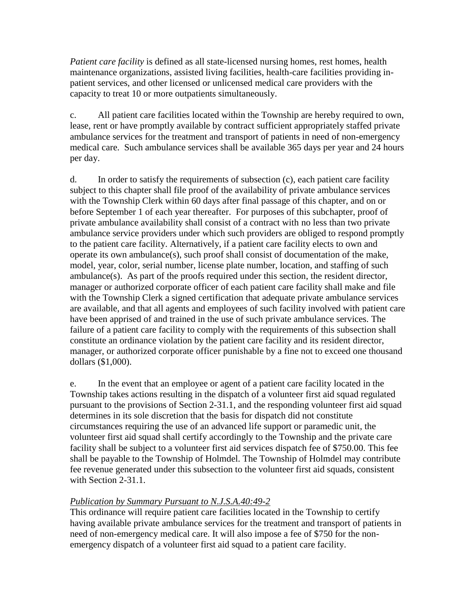*Patient care facility* is defined as all state-licensed nursing homes, rest homes, health maintenance organizations, assisted living facilities, health-care facilities providing inpatient services, and other licensed or unlicensed medical care providers with the capacity to treat 10 or more outpatients simultaneously.

c. All patient care facilities located within the Township are hereby required to own, lease, rent or have promptly available by contract sufficient appropriately staffed private ambulance services for the treatment and transport of patients in need of non-emergency medical care. Such ambulance services shall be available 365 days per year and 24 hours per day.

d. In order to satisfy the requirements of subsection (c), each patient care facility subject to this chapter shall file proof of the availability of private ambulance services with the Township Clerk within 60 days after final passage of this chapter, and on or before September 1 of each year thereafter. For purposes of this subchapter, proof of private ambulance availability shall consist of a contract with no less than two private ambulance service providers under which such providers are obliged to respond promptly to the patient care facility. Alternatively, if a patient care facility elects to own and operate its own ambulance(s), such proof shall consist of documentation of the make, model, year, color, serial number, license plate number, location, and staffing of such ambulance(s). As part of the proofs required under this section, the resident director, manager or authorized corporate officer of each patient care facility shall make and file with the Township Clerk a signed certification that adequate private ambulance services are available, and that all agents and employees of such facility involved with patient care have been apprised of and trained in the use of such private ambulance services. The failure of a patient care facility to comply with the requirements of this subsection shall constitute an ordinance violation by the patient care facility and its resident director, manager, or authorized corporate officer punishable by a fine not to exceed one thousand dollars (\$1,000).

e. In the event that an employee or agent of a patient care facility located in the Township takes actions resulting in the dispatch of a volunteer first aid squad regulated pursuant to the provisions of Section 2-31.1, and the responding volunteer first aid squad determines in its sole discretion that the basis for dispatch did not constitute circumstances requiring the use of an advanced life support or paramedic unit, the volunteer first aid squad shall certify accordingly to the Township and the private care facility shall be subject to a volunteer first aid services dispatch fee of \$750.00. This fee shall be payable to the Township of Holmdel. The Township of Holmdel may contribute fee revenue generated under this subsection to the volunteer first aid squads, consistent with Section 2-31.1.

# *Publication by Summary Pursuant to N.J.S.A.40:49-2*

This ordinance will require patient care facilities located in the Township to certify having available private ambulance services for the treatment and transport of patients in need of non-emergency medical care. It will also impose a fee of \$750 for the nonemergency dispatch of a volunteer first aid squad to a patient care facility.